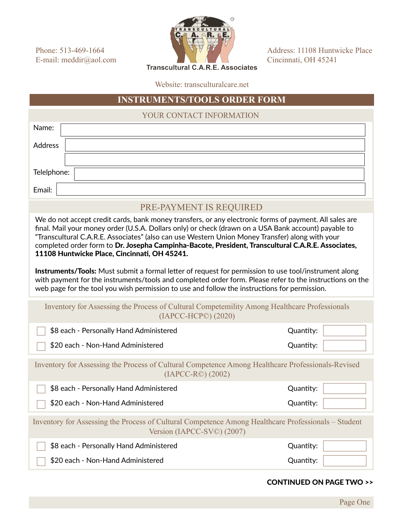Phone: 513-469-1664 E-mail: meddir@aol.com



Address: 11108 Huntwicke Place Cincinnati, OH 45241

**Transcultural C.A.R.E. Associates** 

Website: transculturalcare.net

## **INSTRUMENTS/TOOLS ORDER FORM**

YOUR CONTACT INFORMATION

| Name:                                                                                                                                                                                                                                                                                                                                                                                                                                                                                                                                                                                                                                                                                                                                                                                               |           |  |
|-----------------------------------------------------------------------------------------------------------------------------------------------------------------------------------------------------------------------------------------------------------------------------------------------------------------------------------------------------------------------------------------------------------------------------------------------------------------------------------------------------------------------------------------------------------------------------------------------------------------------------------------------------------------------------------------------------------------------------------------------------------------------------------------------------|-----------|--|
| <b>Address</b>                                                                                                                                                                                                                                                                                                                                                                                                                                                                                                                                                                                                                                                                                                                                                                                      |           |  |
|                                                                                                                                                                                                                                                                                                                                                                                                                                                                                                                                                                                                                                                                                                                                                                                                     |           |  |
| Telelphone:                                                                                                                                                                                                                                                                                                                                                                                                                                                                                                                                                                                                                                                                                                                                                                                         |           |  |
| Email:                                                                                                                                                                                                                                                                                                                                                                                                                                                                                                                                                                                                                                                                                                                                                                                              |           |  |
| PRE-PAYMENT IS REQUIRED                                                                                                                                                                                                                                                                                                                                                                                                                                                                                                                                                                                                                                                                                                                                                                             |           |  |
| We do not accept credit cards, bank money transfers, or any electronic forms of payment. All sales are<br>final. Mail your money order (U.S.A. Dollars only) or check (drawn on a USA Bank account) payable to<br>"Transcultural C.A.R.E. Associates" (also can use Western Union Money Transfer) along with your<br>completed order form to Dr. Josepha Campinha-Bacote, President, Transcultural C.A.R.E. Associates,<br>11108 Huntwicke Place, Cincinnati, OH 45241.<br><b>Instruments/Tools:</b> Must submit a formal letter of request for permission to use tool/instrument along<br>with payment for the instruments/tools and completed order form. Please refer to the instructions on the<br>web page for the tool you wish permission to use and follow the instructions for permission. |           |  |
|                                                                                                                                                                                                                                                                                                                                                                                                                                                                                                                                                                                                                                                                                                                                                                                                     |           |  |
| Inventory for Assessing the Process of Cultural Competentility Among Healthcare Professionals<br>(IAPCC-HCP©) (2020)                                                                                                                                                                                                                                                                                                                                                                                                                                                                                                                                                                                                                                                                                |           |  |
| \$8 each - Personally Hand Administered                                                                                                                                                                                                                                                                                                                                                                                                                                                                                                                                                                                                                                                                                                                                                             | Quantity: |  |
| \$20 each - Non-Hand Administered                                                                                                                                                                                                                                                                                                                                                                                                                                                                                                                                                                                                                                                                                                                                                                   | Quantity: |  |
| Inventory for Assessing the Process of Cultural Competence Among Healthcare Professionals-Revised<br>$(IAPCC-R°)$ $(2002)$                                                                                                                                                                                                                                                                                                                                                                                                                                                                                                                                                                                                                                                                          |           |  |
| \$8 each - Personally Hand Administered                                                                                                                                                                                                                                                                                                                                                                                                                                                                                                                                                                                                                                                                                                                                                             | Quantity: |  |
| \$20 each - Non-Hand Administered                                                                                                                                                                                                                                                                                                                                                                                                                                                                                                                                                                                                                                                                                                                                                                   | Quantity: |  |
| Inventory for Assessing the Process of Cultural Competence Among Healthcare Professionals – Student<br>Version (IAPCC-SV©) (2007)                                                                                                                                                                                                                                                                                                                                                                                                                                                                                                                                                                                                                                                                   |           |  |
| \$8 each - Personally Hand Administered                                                                                                                                                                                                                                                                                                                                                                                                                                                                                                                                                                                                                                                                                                                                                             | Quantity: |  |

## CONTINUED ON PAGE TWO >>